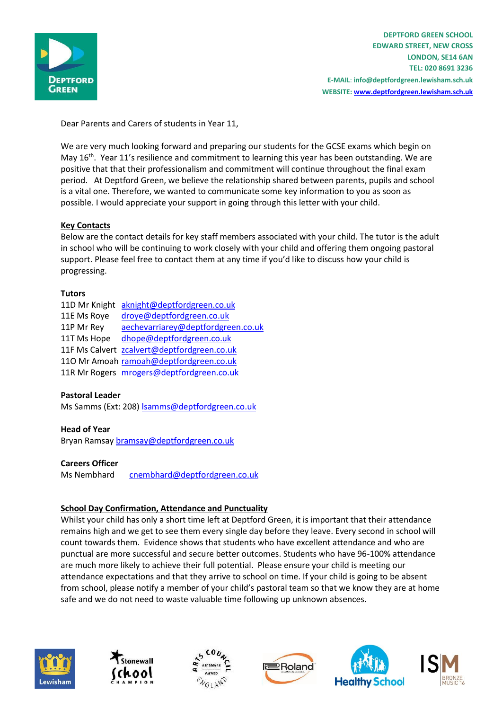

**DEPTFORD GREEN SCHOOL EDWARD STREET, NEW CROSS LONDON, SE14 6AN TEL: 020 8691 3236 E-MAIL**: **info@deptfordgreen.lewisham.sch.uk WEBSITE: www.deptfordgreen.lewisham.sch.uk**

Dear Parents and Carers of students in Year 11,

We are very much looking forward and preparing our students for the GCSE exams which begin on May 16<sup>th</sup>. Year 11's resilience and commitment to learning this year has been outstanding. We are positive that that their professionalism and commitment will continue throughout the final exam period. At Deptford Green, we believe the relationship shared between parents, pupils and school is a vital one. Therefore, we wanted to communicate some key information to you as soon as possible. I would appreciate your support in going through this letter with your child.

## **Key Contacts**

Below are the contact details for key staff members associated with your child. The tutor is the adult in school who will be continuing to work closely with your child and offering them ongoing pastoral support. Please feel free to contact them at any time if you'd like to discuss how your child is progressing.

## **Tutors**

|             | 11D Mr Knight aknight@deptfordgreen.co.uk   |
|-------------|---------------------------------------------|
| 11E Ms Roye | droye@deptfordgreen.co.uk                   |
| 11P Mr Rey  | aechevarriarey@deptfordgreen.co.uk          |
| 11T Ms Hope | dhope@deptfordgreen.co.uk                   |
|             | 11F Ms Calvert zcalvert@deptfordgreen.co.uk |
|             | 110 Mr Amoah ramoah@deptfordgreen.co.uk     |
|             | 11R Mr Rogers mrogers@deptfordgreen.co.uk   |

## **Pastoral Leader**

Ms Samms (Ext: 208) [lsamms@deptfordgreen.co.uk](mailto:lsamms@deptfordgreen.co.uk)

## **Head of Year**

Bryan Ramsay [bramsay@deptfordgreen.co.uk](mailto:bramsay@deptfordgreen.co.uk)

#### **Careers Officer**

Ms Nembhard [cnembhard@deptfordgreen.co.uk](mailto:cnembhard@deptfordgreen.co.uk)

## **School Day Confirmation, Attendance and Punctuality**

Whilst your child has only a short time left at Deptford Green, it is important that their attendance remains high and we get to see them every single day before they leave. Every second in school will count towards them. Evidence shows that students who have excellent attendance and who are punctual are more successful and secure better outcomes. Students who have 96-100% attendance are much more likely to achieve their full potential. Please ensure your child is meeting our attendance expectations and that they arrive to school on time. If your child is going to be absent from school, please notify a member of your child's pastoral team so that we know they are at home safe and we do not need to waste valuable time following up unknown absences.











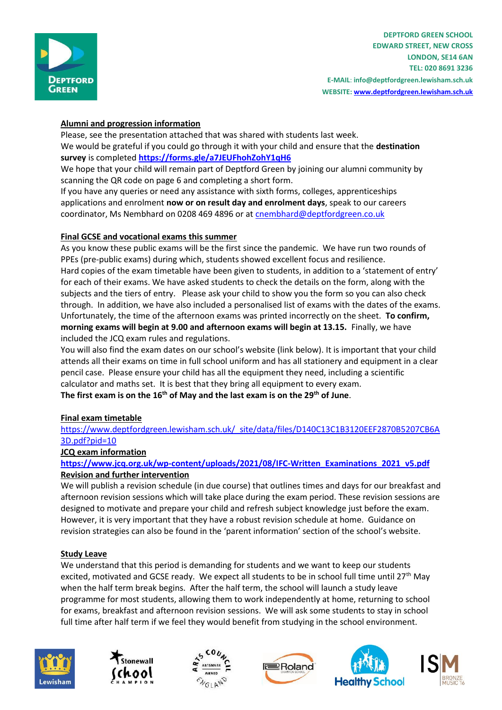

# **Alumni and progression information**

Please, see the presentation attached that was shared with students last week. We would be grateful if you could go through it with your child and ensure that the **destination survey** is completed **<https://forms.gle/a7JEUFhohZohY1qH6>**

We hope that your child will remain part of Deptford Green by joining our alumni community by scanning the QR code on page 6 and completing a short form.

If you have any queries or need any assistance with sixth forms, colleges, apprenticeships applications and enrolment **now or on result day and enrolment days**, speak to our careers coordinator, Ms Nembhard on 0208 469 4896 or at [cnembhard@deptfordgreen.co.uk](mailto:cnembhard@deptfordgreen.co.uk)

## **Final GCSE and vocational exams this summer**

As you know these public exams will be the first since the pandemic. We have run two rounds of PPEs (pre-public exams) during which, students showed excellent focus and resilience. Hard copies of the exam timetable have been given to students, in addition to a 'statement of entry' for each of their exams. We have asked students to check the details on the form, along with the subjects and the tiers of entry. Please ask your child to show you the form so you can also check through. In addition, we have also included a personalised list of exams with the dates of the exams. Unfortunately, the time of the afternoon exams was printed incorrectly on the sheet. **To confirm, morning exams will begin at 9.00 and afternoon exams will begin at 13.15.** Finally, we have included the JCQ exam rules and regulations.

You will also find the exam dates on our school's website (link below). It is important that your child attends all their exams on time in full school uniform and has all stationery and equipment in a clear pencil case. Please ensure your child has all the equipment they need, including a scientific calculator and maths set. It is best that they bring all equipment to every exam. **The first exam is on the 16th of May and the last exam is on the 29th of June**.

## **Final exam timetable**

[https://www.deptfordgreen.lewisham.sch.uk/\\_site/data/files/D140C13C1B3120EEF2870B5207CB6A](https://www.deptfordgreen.lewisham.sch.uk/_site/data/files/D140C13C1B3120EEF2870B5207CB6A3D.pdf?pid=10) [3D.pdf?pid=10](https://www.deptfordgreen.lewisham.sch.uk/_site/data/files/D140C13C1B3120EEF2870B5207CB6A3D.pdf?pid=10)

## **JCQ exam information**

## **[https://www.jcq.org.uk/wp-content/uploads/2021/08/IFC-Written\\_Examinations\\_2021\\_v5.pdf](https://www.jcq.org.uk/wp-content/uploads/2021/08/IFC-Written_Examinations_2021_v5.pdf) Revision and further intervention**

We will publish a revision schedule (in due course) that outlines times and days for our breakfast and afternoon revision sessions which will take place during the exam period. These revision sessions are designed to motivate and prepare your child and refresh subject knowledge just before the exam. However, it is very important that they have a robust revision schedule at home. Guidance on revision strategies can also be found in the 'parent information' section of the school's website.

## **Study Leave**

We understand that this period is demanding for students and we want to keep our students excited, motivated and GCSE ready. We expect all students to be in school full time until 27<sup>th</sup> May when the half term break begins. After the half term, the school will launch a study leave programme for most students, allowing them to work independently at home, returning to school for exams, breakfast and afternoon revision sessions. We will ask some students to stay in school full time after half term if we feel they would benefit from studying in the school environment.